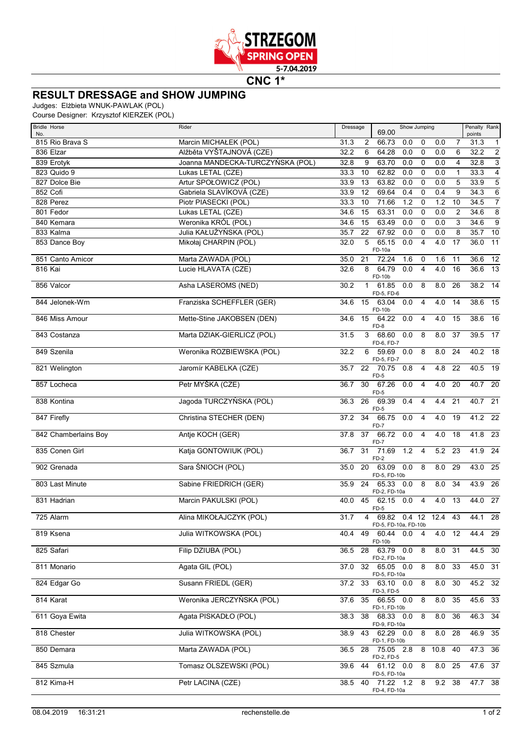

**CNC 1\***

## **RESULT DRESSAGE and SHOW JUMPING**

Judges: Elżbieta WNUK-PAWLAK (POL)

Course Designer: Krzysztof KIERZEK (POL)

| <b>Bridle Horse</b>    | Rider                            | Dressage                | Show Jumping<br>69.00                          |           | Penalty Rank                                       |
|------------------------|----------------------------------|-------------------------|------------------------------------------------|-----------|----------------------------------------------------|
| No.<br>815 Rio Brava S | Marcin MICHAŁEK (POL)            | 31.3<br>$\overline{2}$  | 66.73<br>0.0<br>$\mathbf 0$                    | 0.0       | points<br>$\overline{1}$<br>$\overline{7}$<br>31.3 |
| 836 Elzar              | Alžběta VYŠTAJNOVÁ (CZE)         | 32.2<br>6               | 64.28<br>0.0<br>$\mathbf 0$                    | 0.0       | $\overline{2}$<br>6<br>32.2                        |
| 839 Erotyk             | Joanna MANDECKA-TURCZYŃSKA (POL) | 32.8<br>9               | 63.70<br>0.0<br>0                              | 0.0       | $\overline{3}$<br>4<br>32.8                        |
| 823 Quido 9            | Lukas LETAL (CZE)                | 33.3<br>10              | 62.82<br>0.0<br>$\mathbf 0$                    | 0.0       | $\overline{4}$<br>33.3<br>$\mathbf{1}$             |
| 827 Dolce Bie          | Artur SPOŁOWICZ (POL)            | 33.9<br>13              | 63.82<br>0.0<br>0                              | 0.0       | $\sqrt{5}$<br>5<br>33.9                            |
| 852 Cofi               | Gabriela SLAVÍKOVÁ (CZE)         | 33.9<br>12              | 69.64<br>0.4<br>0                              | 0.4       | $\,6$<br>9<br>34.3                                 |
| 828 Perez              | Piotr PIASECKI (POL)             | 33.3<br>10              | 71.66<br>1.2<br>0                              | 1.2       | $\overline{7}$<br>10<br>34.5                       |
| 801 Fedor              | Lukas LETAL (CZE)                | 15<br>34.6              | 63.31<br>0.0<br>$\mathbf 0$                    | 0.0       | $\overline{8}$<br>2<br>34.6                        |
| 840 Kemara             | Weronika KRÓL (POL)              | 34.6<br>15              | 63.49<br>0.0<br>$\mathbf 0$                    | 0.0       | $\overline{9}$<br>3<br>34.6                        |
| 833 Kalma              | Julia KAŁUŻYŃSKA (POL)           | 35.7<br>22              | 67.92<br>0.0<br>$\mathbf 0$                    | 0.0       | $\bf 8$<br>$35.7$ 10                               |
| 853 Dance Boy          | Mikołaj CHARPIN (POL)            | 32.0<br>5               | 65.15<br>0.0<br>$\overline{4}$<br>FD-10a       | 4.0       | 17<br>36.0<br>11                                   |
| 851 Canto Amicor       | Marta ZAWADA (POL)               | 35.0<br>21              | 72.24<br>1.6<br>0                              | 1.6       | 11<br>36.6<br>$\overline{12}$                      |
| 816 Kai                | Lucie HLAVATA (CZE)              | 32.6<br>8               | 64.79<br>0.0<br>$\overline{4}$<br>FD-10b       | 4.0       | 16<br>36.6<br>13                                   |
| 856 Valcor             | Asha LASEROMS (NED)              | 30.2<br>$\mathbf{1}$    | 8<br>61.85<br>0.0<br>FD-5, FD-6                | 8.0       | 26<br>38.2 14                                      |
| 844 Jelonek-Wm         | Franziska SCHEFFLER (GER)        | 15<br>34.6              | 63.04<br>0.0<br>$\overline{4}$<br>FD-10b       | 4.0       | 14<br>38.6<br>15                                   |
| 846 Miss Amour         | Mette-Stine JAKOBSEN (DEN)       | 15<br>34.6              | 64.22<br>0.0<br>$\overline{4}$<br>$FD-8$       | 4.0       | 38.6<br>16<br>15                                   |
| 843 Costanza           | Marta DZIAK-GIERLICZ (POL)       | 31.5<br>3               | 68.60<br>0.0<br>8<br>FD-6, FD-7                | 8.0       | 39.5<br>17<br>37                                   |
| 849 Szenila            | Weronika ROZBIEWSKA (POL)        | 32.2<br>6               | 59.69<br>0.0<br>8<br>FD-5, FD-7                | 8.0       | 40.2 18<br>24                                      |
| 821 Welington          | Jaromír KABELKA (CZE)            | 22<br>35.7              | 70.75<br>0.8<br>$\overline{4}$<br>$FD-5$       | 4.8       | 40.5<br>22<br>19                                   |
| 857 Locheca            | Petr MYŠKA (CZE)                 | 30<br>36.7              | 67.26<br>0.0<br>$\overline{4}$<br>FD-5         | 4.0       | 20<br>40.7 20                                      |
| 838 Kontina            | Jagoda TURCZYŃSKA (POL)          | 26<br>36.3              | 69.39<br>0.4<br>$\overline{4}$<br>FD-5         | 4.4       | $40.7$ 21<br>21                                    |
| 847 Firefly            | Christina STECHER (DEN)          | 34<br>37.2              | 66.75<br>0.0<br>$\overline{4}$<br>FD-7         | 4.0       | $41.2$ 22<br>19                                    |
| 842 Chamberlains Boy   | Antje KOCH (GER)                 | 37<br>37.8              | 66.72<br>0.0<br>$\overline{4}$<br>FD-7         | 4.0       | 18<br>41.8<br>- 23                                 |
| 835 Conen Girl         | Katja GONTOWIUK (POL)            | 31<br>36.7              | 1.2<br>71.69<br>$\overline{4}$<br>$FD-2$       | 5.2       | 41.9<br>24<br>-23                                  |
| 902 Grenada            | Sara ŚNIOCH (POL)                | 35.0<br>20              | 63.09<br>0.0<br>8<br>FD-5, FD-10b              | 8.0       | 43.0<br>25<br>29                                   |
| 803 Last Minute        | Sabine FRIEDRICH (GER)           | 35.9<br>24              | 65.33<br>8<br>0.0<br>FD-2, FD-10a              | 8.0       | 43.9<br>26<br>34                                   |
| 831 Hadrian            | Marcin PAKULSKI (POL)            | 40.0<br>45              | 62.15<br>$\overline{4}$<br>0.0<br>FD-5         | 4.0       | 13<br>44.0 27                                      |
| 725 Alarm              | Alina MIKOŁAJCZYK (POL)          | 31.7<br>4               | 69.82<br>$0.4$ 12 12.4<br>FD-5, FD-10a, FD-10b |           | 43<br>44.1<br>28                                   |
| 819 Ksena              | Julia WITKOWSKA (POL)            |                         | 40.4 49 60.44 0.0 4<br>FD-10b                  | 4.0 12    | $44.4$ 29                                          |
| 825 Safari             | Filip DZIUBA (POL)               | 36.5<br>28              | 0.0<br>8<br>63.79<br>FD-2, FD-10a              | $8.0$ 31  | 44.5 30                                            |
| 811 Monario            | Agata GIL (POL)                  | 32 <sup>2</sup><br>37.0 | 8<br>65.05 0.0<br>FD-5, FD-10a                 | 8.0       | $45.0$ 31<br>33                                    |
| 824 Edgar Go           | Susann FRIEDL (GER)              | 37.2                    | 33 63.10 0.0<br>8<br>FD-3, FD-5                | 8.0       | 30<br>45.2 32                                      |
| 814 Karat              | Weronika JERCZYŃSKA (POL)        | 37.6<br>35              | 66.55 0.0<br>8<br>FD-1, FD-10b                 | 8.0       | 45.6 33<br>35                                      |
| 611 Goya Ewita         | Agata PISKADŁO (POL)             | 38.3<br>38              | 68.33 0.0 8<br>FD-9, FD-10a                    | 8.0       | 46.3 34<br>-36                                     |
| 818 Chester            | Julia WITKOWSKA (POL)            | 38.9                    | 8<br>43 62.29 0.0<br>FD-1, FD-10b              | 8.0 28    | 46.9 35                                            |
| 850 Demara             | Marta ZAWADA (POL)               | 28<br>36.5              | $\overline{75.05}$ 2.8<br>FD-2, FD-5           | 8 10.8 40 | 47.3 36                                            |
| 845 Szmula             | Tomasz OLSZEWSKI (POL)           | 39.6                    | 44 61.12 0.0<br>8<br>FD-5, FD-10a              | $8.0$ 25  | 47.6 37                                            |
| 812 Kima-H             | Petr LACINA (CZE)                | 38.5<br>40              | 8<br>71.22 1.2<br>FD-4, FD-10a                 | $9.2$ 38  | 47.7 38                                            |
|                        |                                  |                         |                                                |           |                                                    |